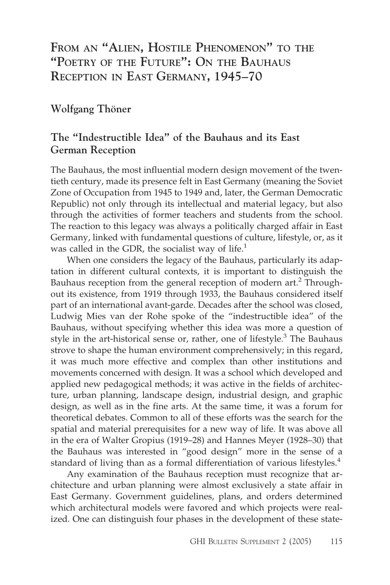# **FROM AN "ALIEN, HOSTILE PHENOMENON" TO THE "POETRY OF THE FUTURE": ON THE BAUHAUS RECEPTION IN EAST GERMANY, 1945–70**

## **Wolfgang Thöner**

## **The "Indestructible Idea" of the Bauhaus and its East German Reception**

The Bauhaus, the most influential modern design movement of the twentieth century, made its presence felt in East Germany (meaning the Soviet Zone of Occupation from 1945 to 1949 and, later, the German Democratic Republic) not only through its intellectual and material legacy, but also through the activities of former teachers and students from the school. The reaction to this legacy was always a politically charged affair in East Germany, linked with fundamental questions of culture, lifestyle, or, as it was called in the GDR, the socialist way of life. $<sup>1</sup>$ </sup>

When one considers the legacy of the Bauhaus, particularly its adaptation in different cultural contexts, it is important to distinguish the Bauhaus reception from the general reception of modern art.<sup>2</sup> Throughout its existence, from 1919 through 1933, the Bauhaus considered itself part of an international avant-garde. Decades after the school was closed, Ludwig Mies van der Rohe spoke of the "indestructible idea" of the Bauhaus, without specifying whether this idea was more a question of style in the art-historical sense or, rather, one of lifestyle.<sup>3</sup> The Bauhaus strove to shape the human environment comprehensively; in this regard, it was much more effective and complex than other institutions and movements concerned with design. It was a school which developed and applied new pedagogical methods; it was active in the fields of architecture, urban planning, landscape design, industrial design, and graphic design, as well as in the fine arts. At the same time, it was a forum for theoretical debates. Common to all of these efforts was the search for the spatial and material prerequisites for a new way of life. It was above all in the era of Walter Gropius (1919–28) and Hannes Meyer (1928–30) that the Bauhaus was interested in "good design" more in the sense of a standard of living than as a formal differentiation of various lifestyles.<sup>4</sup>

Any examination of the Bauhaus reception must recognize that architecture and urban planning were almost exclusively a state affair in East Germany. Government guidelines, plans, and orders determined which architectural models were favored and which projects were realized. One can distinguish four phases in the development of these state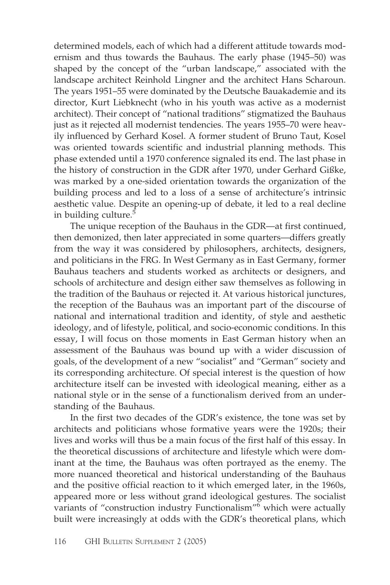determined models, each of which had a different attitude towards modernism and thus towards the Bauhaus. The early phase (1945–50) was shaped by the concept of the "urban landscape," associated with the landscape architect Reinhold Lingner and the architect Hans Scharoun. The years 1951–55 were dominated by the Deutsche Bauakademie and its director, Kurt Liebknecht (who in his youth was active as a modernist architect). Their concept of "national traditions" stigmatized the Bauhaus just as it rejected all modernist tendencies. The years 1955–70 were heavily influenced by Gerhard Kosel. A former student of Bruno Taut, Kosel was oriented towards scientific and industrial planning methods. This phase extended until a 1970 conference signaled its end. The last phase in the history of construction in the GDR after 1970, under Gerhard Gißke, was marked by a one-sided orientation towards the organization of the building process and led to a loss of a sense of architecture's intrinsic aesthetic value. Despite an opening-up of debate, it led to a real decline in building culture.<sup>5</sup>

The unique reception of the Bauhaus in the GDR—at first continued, then demonized, then later appreciated in some quarters—differs greatly from the way it was considered by philosophers, architects, designers, and politicians in the FRG. In West Germany as in East Germany, former Bauhaus teachers and students worked as architects or designers, and schools of architecture and design either saw themselves as following in the tradition of the Bauhaus or rejected it. At various historical junctures, the reception of the Bauhaus was an important part of the discourse of national and international tradition and identity, of style and aesthetic ideology, and of lifestyle, political, and socio-economic conditions. In this essay, I will focus on those moments in East German history when an assessment of the Bauhaus was bound up with a wider discussion of goals, of the development of a new "socialist" and "German" society and its corresponding architecture. Of special interest is the question of how architecture itself can be invested with ideological meaning, either as a national style or in the sense of a functionalism derived from an understanding of the Bauhaus.

In the first two decades of the GDR's existence, the tone was set by architects and politicians whose formative years were the 1920s; their lives and works will thus be a main focus of the first half of this essay. In the theoretical discussions of architecture and lifestyle which were dominant at the time, the Bauhaus was often portrayed as the enemy. The more nuanced theoretical and historical understanding of the Bauhaus and the positive official reaction to it which emerged later, in the 1960s, appeared more or less without grand ideological gestures. The socialist variants of "construction industry Functionalism"<sup>6</sup> which were actually built were increasingly at odds with the GDR's theoretical plans, which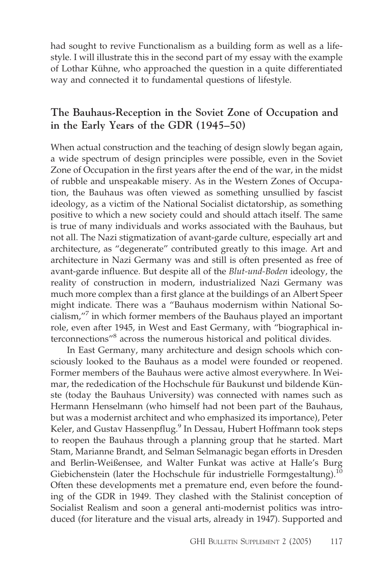had sought to revive Functionalism as a building form as well as a lifestyle. I will illustrate this in the second part of my essay with the example of Lothar Kühne, who approached the question in a quite differentiated way and connected it to fundamental questions of lifestyle.

### **The Bauhaus-Reception in the Soviet Zone of Occupation and in the Early Years of the GDR (1945–50)**

When actual construction and the teaching of design slowly began again, a wide spectrum of design principles were possible, even in the Soviet Zone of Occupation in the first years after the end of the war, in the midst of rubble and unspeakable misery. As in the Western Zones of Occupation, the Bauhaus was often viewed as something unsullied by fascist ideology, as a victim of the National Socialist dictatorship, as something positive to which a new society could and should attach itself. The same is true of many individuals and works associated with the Bauhaus, but not all. The Nazi stigmatization of avant-garde culture, especially art and architecture, as "degenerate" contributed greatly to this image. Art and architecture in Nazi Germany was and still is often presented as free of avant-garde influence. But despite all of the *Blut-und-Boden* ideology, the reality of construction in modern, industrialized Nazi Germany was much more complex than a first glance at the buildings of an Albert Speer might indicate. There was a "Bauhaus modernism within National Socialism,"7 in which former members of the Bauhaus played an important role, even after 1945, in West and East Germany, with "biographical interconnections"8 across the numerous historical and political divides.

In East Germany, many architecture and design schools which consciously looked to the Bauhaus as a model were founded or reopened. Former members of the Bauhaus were active almost everywhere. In Weimar, the rededication of the Hochschule für Baukunst und bildende Künste (today the Bauhaus University) was connected with names such as Hermann Henselmann (who himself had not been part of the Bauhaus, but was a modernist architect and who emphasized its importance), Peter Keler, and Gustav Hassenpflug.<sup>9</sup> In Dessau, Hubert Hoffmann took steps to reopen the Bauhaus through a planning group that he started. Mart Stam, Marianne Brandt, and Selman Selmanagic began efforts in Dresden and Berlin-Weißensee, and Walter Funkat was active at Halle's Burg Giebichenstein (later the Hochschule für industrielle Formgestaltung). $^{10}$ Often these developments met a premature end, even before the founding of the GDR in 1949. They clashed with the Stalinist conception of Socialist Realism and soon a general anti-modernist politics was introduced (for literature and the visual arts, already in 1947). Supported and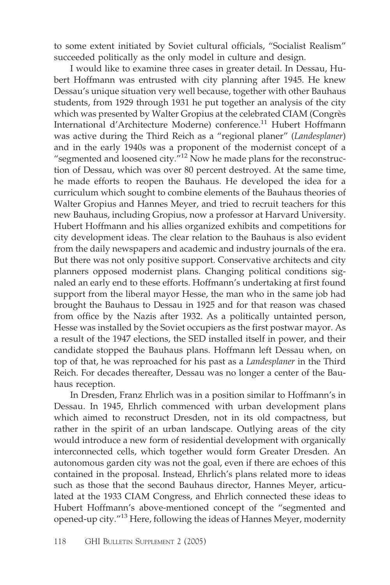to some extent initiated by Soviet cultural officials, "Socialist Realism" succeeded politically as the only model in culture and design.

I would like to examine three cases in greater detail. In Dessau, Hubert Hoffmann was entrusted with city planning after 1945. He knew Dessau's unique situation very well because, together with other Bauhaus students, from 1929 through 1931 he put together an analysis of the city which was presented by Walter Gropius at the celebrated CIAM (Congrès International d'Architecture Moderne) conference.<sup>11</sup> Hubert Hoffmann was active during the Third Reich as a "regional planer" (*Landesplaner*) and in the early 1940s was a proponent of the modernist concept of a "segmented and loosened city."<sup>12</sup> Now he made plans for the reconstruction of Dessau, which was over 80 percent destroyed. At the same time, he made efforts to reopen the Bauhaus. He developed the idea for a curriculum which sought to combine elements of the Bauhaus theories of Walter Gropius and Hannes Meyer, and tried to recruit teachers for this new Bauhaus, including Gropius, now a professor at Harvard University. Hubert Hoffmann and his allies organized exhibits and competitions for city development ideas. The clear relation to the Bauhaus is also evident from the daily newspapers and academic and industry journals of the era. But there was not only positive support. Conservative architects and city planners opposed modernist plans. Changing political conditions signaled an early end to these efforts. Hoffmann's undertaking at first found support from the liberal mayor Hesse, the man who in the same job had brought the Bauhaus to Dessau in 1925 and for that reason was chased from office by the Nazis after 1932. As a politically untainted person, Hesse was installed by the Soviet occupiers as the first postwar mayor. As a result of the 1947 elections, the SED installed itself in power, and their candidate stopped the Bauhaus plans. Hoffmann left Dessau when, on top of that, he was reproached for his past as a *Landesplaner* in the Third Reich. For decades thereafter, Dessau was no longer a center of the Bauhaus reception.

In Dresden, Franz Ehrlich was in a position similar to Hoffmann's in Dessau. In 1945, Ehrlich commenced with urban development plans which aimed to reconstruct Dresden, not in its old compactness, but rather in the spirit of an urban landscape. Outlying areas of the city would introduce a new form of residential development with organically interconnected cells, which together would form Greater Dresden. An autonomous garden city was not the goal, even if there are echoes of this contained in the proposal. Instead, Ehrlich's plans related more to ideas such as those that the second Bauhaus director, Hannes Meyer, articulated at the 1933 CIAM Congress, and Ehrlich connected these ideas to Hubert Hoffmann's above-mentioned concept of the "segmented and opened-up city."13 Here, following the ideas of Hannes Meyer, modernity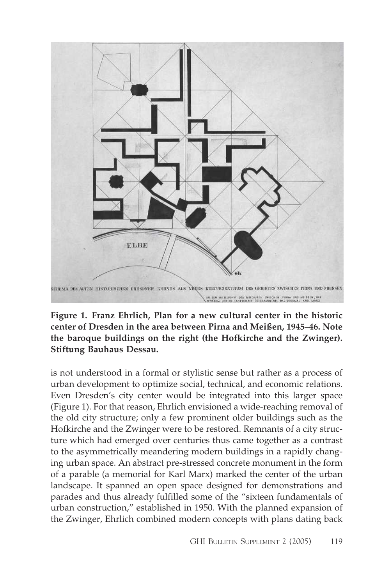

**Figure 1. Franz Ehrlich, Plan for a new cultural center in the historic center of Dresden in the area between Pirna and Meißen, 1945–46. Note the baroque buildings on the right (the Hofkirche and the Zwinger). Stiftung Bauhaus Dessau.**

is not understood in a formal or stylistic sense but rather as a process of urban development to optimize social, technical, and economic relations. Even Dresden's city center would be integrated into this larger space (Figure 1). For that reason, Ehrlich envisioned a wide-reaching removal of the old city structure; only a few prominent older buildings such as the Hofkirche and the Zwinger were to be restored. Remnants of a city structure which had emerged over centuries thus came together as a contrast to the asymmetrically meandering modern buildings in a rapidly changing urban space. An abstract pre-stressed concrete monument in the form of a parable (a memorial for Karl Marx) marked the center of the urban landscape. It spanned an open space designed for demonstrations and parades and thus already fulfilled some of the "sixteen fundamentals of urban construction," established in 1950. With the planned expansion of the Zwinger, Ehrlich combined modern concepts with plans dating back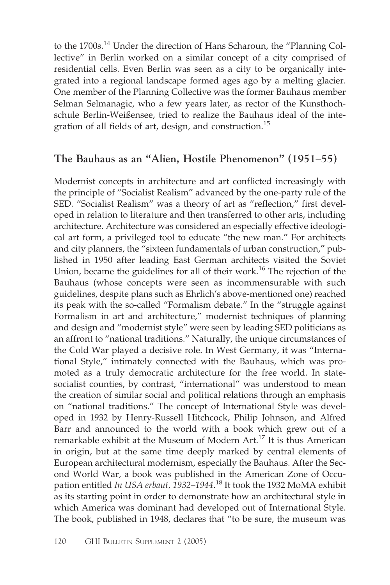to the 1700s.<sup>14</sup> Under the direction of Hans Scharoun, the "Planning Collective" in Berlin worked on a similar concept of a city comprised of residential cells. Even Berlin was seen as a city to be organically integrated into a regional landscape formed ages ago by a melting glacier. One member of the Planning Collective was the former Bauhaus member Selman Selmanagic, who a few years later, as rector of the Kunsthochschule Berlin-Weißensee, tried to realize the Bauhaus ideal of the integration of all fields of art, design, and construction.<sup>15</sup>

#### **The Bauhaus as an "Alien, Hostile Phenomenon" (1951–55)**

Modernist concepts in architecture and art conflicted increasingly with the principle of "Socialist Realism" advanced by the one-party rule of the SED. "Socialist Realism" was a theory of art as "reflection," first developed in relation to literature and then transferred to other arts, including architecture. Architecture was considered an especially effective ideological art form, a privileged tool to educate "the new man." For architects and city planners, the "sixteen fundamentals of urban construction," published in 1950 after leading East German architects visited the Soviet Union, became the guidelines for all of their work.<sup>16</sup> The rejection of the Bauhaus (whose concepts were seen as incommensurable with such guidelines, despite plans such as Ehrlich's above-mentioned one) reached its peak with the so-called "Formalism debate." In the "struggle against Formalism in art and architecture," modernist techniques of planning and design and "modernist style" were seen by leading SED politicians as an affront to "national traditions." Naturally, the unique circumstances of the Cold War played a decisive role. In West Germany, it was "International Style," intimately connected with the Bauhaus, which was promoted as a truly democratic architecture for the free world. In statesocialist counties, by contrast, "international" was understood to mean the creation of similar social and political relations through an emphasis on "national traditions." The concept of International Style was developed in 1932 by Henry-Russell Hitchcock, Philip Johnson, and Alfred Barr and announced to the world with a book which grew out of a remarkable exhibit at the Museum of Modern Art.<sup>17</sup> It is thus American in origin, but at the same time deeply marked by central elements of European architectural modernism, especially the Bauhaus. After the Second World War, a book was published in the American Zone of Occupation entitled *In USA erbaut, 1932–1944*. <sup>18</sup> It took the 1932 MoMA exhibit as its starting point in order to demonstrate how an architectural style in which America was dominant had developed out of International Style. The book, published in 1948, declares that "to be sure, the museum was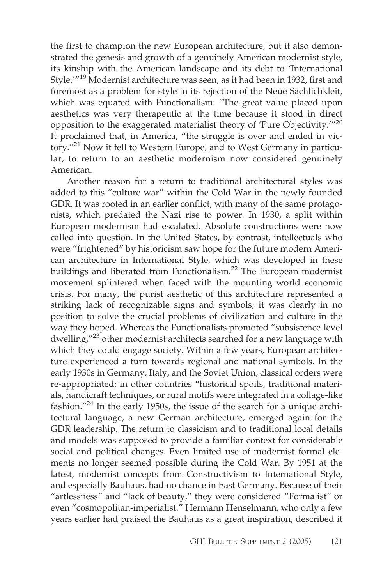the first to champion the new European architecture, but it also demonstrated the genesis and growth of a genuinely American modernist style, its kinship with the American landscape and its debt to 'International Style.'"19 Modernist architecture was seen, as it had been in 1932, first and foremost as a problem for style in its rejection of the Neue Sachlichkleit, which was equated with Functionalism: "The great value placed upon aesthetics was very therapeutic at the time because it stood in direct opposition to the exaggerated materialist theory of 'Pure Objectivity.'"20 It proclaimed that, in America, "the struggle is over and ended in victory."21 Now it fell to Western Europe, and to West Germany in particular, to return to an aesthetic modernism now considered genuinely American.

Another reason for a return to traditional architectural styles was added to this "culture war" within the Cold War in the newly founded GDR. It was rooted in an earlier conflict, with many of the same protagonists, which predated the Nazi rise to power. In 1930, a split within European modernism had escalated. Absolute constructions were now called into question. In the United States, by contrast, intellectuals who were "frightened" by historicism saw hope for the future modern American architecture in International Style, which was developed in these buildings and liberated from Functionalism.<sup>22</sup> The European modernist movement splintered when faced with the mounting world economic crisis. For many, the purist aesthetic of this architecture represented a striking lack of recognizable signs and symbols; it was clearly in no position to solve the crucial problems of civilization and culture in the way they hoped. Whereas the Functionalists promoted "subsistence-level dwelling,"<sup>23</sup> other modernist architects searched for a new language with which they could engage society. Within a few years, European architecture experienced a turn towards regional and national symbols. In the early 1930s in Germany, Italy, and the Soviet Union, classical orders were re-appropriated; in other countries "historical spoils, traditional materials, handicraft techniques, or rural motifs were integrated in a collage-like fashion."<sup>24</sup> In the early 1950s, the issue of the search for a unique architectural language, a new German architecture, emerged again for the GDR leadership. The return to classicism and to traditional local details and models was supposed to provide a familiar context for considerable social and political changes. Even limited use of modernist formal elements no longer seemed possible during the Cold War. By 1951 at the latest, modernist concepts from Constructivism to International Style, and especially Bauhaus, had no chance in East Germany. Because of their "artlessness" and "lack of beauty," they were considered "Formalist" or even "cosmopolitan-imperialist." Hermann Henselmann, who only a few years earlier had praised the Bauhaus as a great inspiration, described it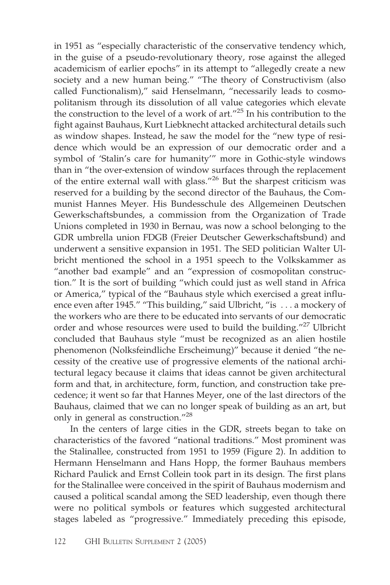in 1951 as "especially characteristic of the conservative tendency which, in the guise of a pseudo-revolutionary theory, rose against the alleged academicism of earlier epochs" in its attempt to "allegedly create a new society and a new human being." "The theory of Constructivism (also called Functionalism)," said Henselmann, "necessarily leads to cosmopolitanism through its dissolution of all value categories which elevate the construction to the level of a work of art. $125$  In his contribution to the fight against Bauhaus, Kurt Liebknecht attacked architectural details such as window shapes. Instead, he saw the model for the "new type of residence which would be an expression of our democratic order and a symbol of 'Stalin's care for humanity'" more in Gothic-style windows than in "the over-extension of window surfaces through the replacement of the entire external wall with glass."<sup>26</sup> But the sharpest criticism was reserved for a building by the second director of the Bauhaus, the Communist Hannes Meyer. His Bundesschule des Allgemeinen Deutschen Gewerkschaftsbundes, a commission from the Organization of Trade Unions completed in 1930 in Bernau, was now a school belonging to the GDR umbrella union FDGB (Freier Deutscher Gewerkschaftsbund) and underwent a sensitive expansion in 1951. The SED politician Walter Ulbricht mentioned the school in a 1951 speech to the Volkskammer as "another bad example" and an "expression of cosmopolitan construction." It is the sort of building "which could just as well stand in Africa or America," typical of the "Bauhaus style which exercised a great influence even after 1945." "This building," said Ulbricht, "is . . . a mockery of the workers who are there to be educated into servants of our democratic order and whose resources were used to build the building."<sup>27</sup> Ulbricht concluded that Bauhaus style "must be recognized as an alien hostile phenomenon (Nolksfeindliche Erscheimung)" because it denied "the necessity of the creative use of progressive elements of the national architectural legacy because it claims that ideas cannot be given architectural form and that, in architecture, form, function, and construction take precedence; it went so far that Hannes Meyer, one of the last directors of the Bauhaus, claimed that we can no longer speak of building as an art, but only in general as construction."28

In the centers of large cities in the GDR, streets began to take on characteristics of the favored "national traditions." Most prominent was the Stalinallee, constructed from 1951 to 1959 (Figure 2). In addition to Hermann Henselmann and Hans Hopp, the former Bauhaus members Richard Paulick and Ernst Collein took part in its design. The first plans for the Stalinallee were conceived in the spirit of Bauhaus modernism and caused a political scandal among the SED leadership, even though there were no political symbols or features which suggested architectural stages labeled as "progressive." Immediately preceding this episode,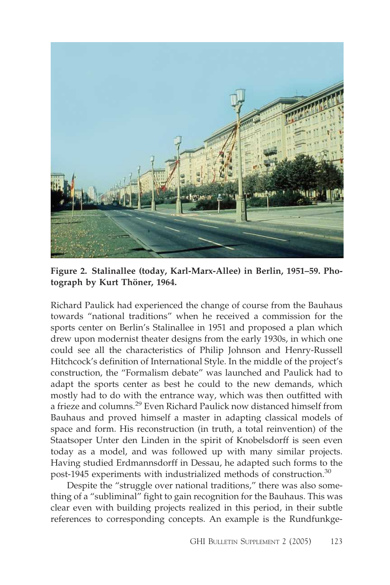

**Figure 2. Stalinallee (today, Karl-Marx-Allee) in Berlin, 1951–59. Photograph by Kurt Thöner, 1964.**

Richard Paulick had experienced the change of course from the Bauhaus towards "national traditions" when he received a commission for the sports center on Berlin's Stalinallee in 1951 and proposed a plan which drew upon modernist theater designs from the early 1930s, in which one could see all the characteristics of Philip Johnson and Henry-Russell Hitchcock's definition of International Style. In the middle of the project's construction, the "Formalism debate" was launched and Paulick had to adapt the sports center as best he could to the new demands, which mostly had to do with the entrance way, which was then outfitted with a frieze and columns.<sup>29</sup> Even Richard Paulick now distanced himself from Bauhaus and proved himself a master in adapting classical models of space and form. His reconstruction (in truth, a total reinvention) of the Staatsoper Unter den Linden in the spirit of Knobelsdorff is seen even today as a model, and was followed up with many similar projects. Having studied Erdmannsdorff in Dessau, he adapted such forms to the post-1945 experiments with industrialized methods of construction.<sup>30</sup>

Despite the "struggle over national traditions," there was also something of a "subliminal" fight to gain recognition for the Bauhaus. This was clear even with building projects realized in this period, in their subtle references to corresponding concepts. An example is the Rundfunkge-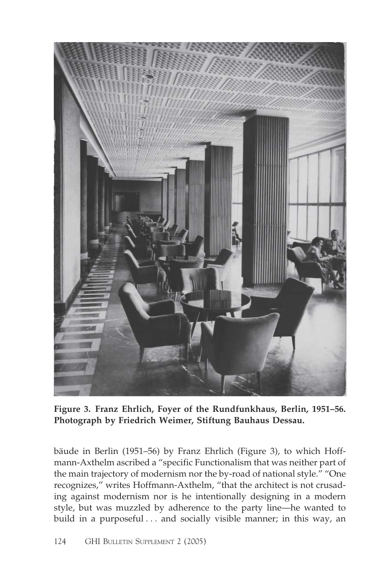

**Figure 3. Franz Ehrlich, Foyer of the Rundfunkhaus, Berlin, 1951–56. Photograph by Friedrich Weimer, Stiftung Bauhaus Dessau.**

bäude in Berlin (1951–56) by Franz Ehrlich (Figure 3), to which Hoffmann-Axthelm ascribed a "specific Functionalism that was neither part of the main trajectory of modernism nor the by-road of national style." "One recognizes," writes Hoffmann-Axthelm, "that the architect is not crusading against modernism nor is he intentionally designing in a modern style, but was muzzled by adherence to the party line—he wanted to build in a purposeful . . . and socially visible manner; in this way, an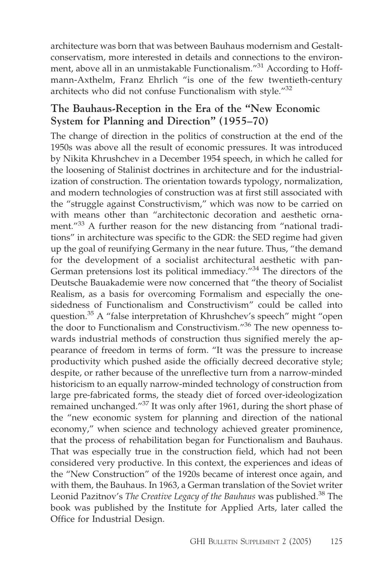architecture was born that was between Bauhaus modernism and Gestaltconservatism, more interested in details and connections to the environment, above all in an unmistakable Functionalism."<sup>31</sup> According to Hoffmann-Axthelm, Franz Ehrlich "is one of the few twentieth-century architects who did not confuse Functionalism with style."32

## **The Bauhaus-Reception in the Era of the "New Economic System for Planning and Direction" (1955–70)**

The change of direction in the politics of construction at the end of the 1950s was above all the result of economic pressures. It was introduced by Nikita Khrushchev in a December 1954 speech, in which he called for the loosening of Stalinist doctrines in architecture and for the industrialization of construction. The orientation towards typology, normalization, and modern technologies of construction was at first still associated with the "struggle against Constructivism," which was now to be carried on with means other than "architectonic decoration and aesthetic ornament."<sup>33</sup> A further reason for the new distancing from "national traditions" in architecture was specific to the GDR: the SED regime had given up the goal of reunifying Germany in the near future. Thus, "the demand for the development of a socialist architectural aesthetic with pan-German pretensions lost its political immediacy."<sup>34</sup> The directors of the Deutsche Bauakademie were now concerned that "the theory of Socialist Realism, as a basis for overcoming Formalism and especially the onesidedness of Functionalism and Constructivism" could be called into question.<sup>35</sup> A "false interpretation of Khrushchev's speech" might "open the door to Functionalism and Constructivism."<sup>36</sup> The new openness towards industrial methods of construction thus signified merely the appearance of freedom in terms of form. "It was the pressure to increase productivity which pushed aside the officially decreed decorative style; despite, or rather because of the unreflective turn from a narrow-minded historicism to an equally narrow-minded technology of construction from large pre-fabricated forms, the steady diet of forced over-ideologization remained unchanged."<sup>37</sup> It was only after 1961, during the short phase of the "new economic system for planning and direction of the national economy," when science and technology achieved greater prominence, that the process of rehabilitation began for Functionalism and Bauhaus. That was especially true in the construction field, which had not been considered very productive. In this context, the experiences and ideas of the "New Construction" of the 1920s became of interest once again, and with them, the Bauhaus. In 1963, a German translation of the Soviet writer Leonid Pazitnov's *The Creative Legacy of the Bauhaus* was published.<sup>38</sup> The book was published by the Institute for Applied Arts, later called the Office for Industrial Design.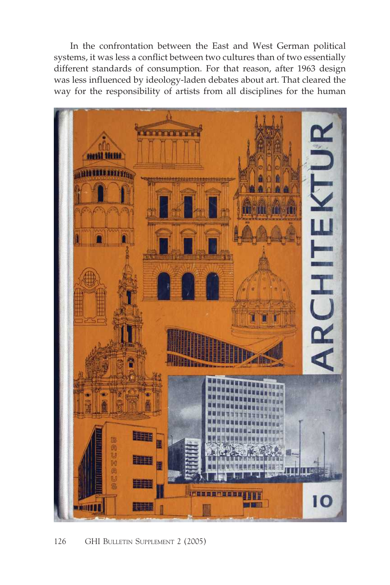In the confrontation between the East and West German political systems, it was less a conflict between two cultures than of two essentially different standards of consumption. For that reason, after 1963 design was less influenced by ideology-laden debates about art. That cleared the way for the responsibility of artists from all disciplines for the human

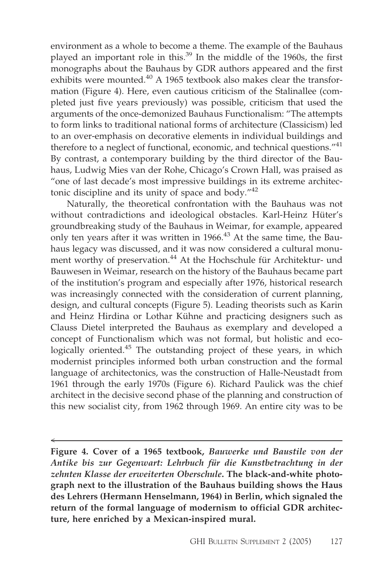environment as a whole to become a theme. The example of the Bauhaus played an important role in this.<sup>39</sup> In the middle of the 1960s, the first monographs about the Bauhaus by GDR authors appeared and the first exhibits were mounted. $40$  A 1965 textbook also makes clear the transformation (Figure 4). Here, even cautious criticism of the Stalinallee (completed just five years previously) was possible, criticism that used the arguments of the once-demonized Bauhaus Functionalism: "The attempts to form links to traditional national forms of architecture (Classicism) led to an over-emphasis on decorative elements in individual buildings and therefore to a neglect of functional, economic, and technical questions."<sup>41</sup> By contrast, a contemporary building by the third director of the Bauhaus, Ludwig Mies van der Rohe, Chicago's Crown Hall, was praised as "one of last decade's most impressive buildings in its extreme architectonic discipline and its unity of space and body."42

Naturally, the theoretical confrontation with the Bauhaus was not without contradictions and ideological obstacles. Karl-Heinz Hüter's groundbreaking study of the Bauhaus in Weimar, for example, appeared only ten years after it was written in 1966.<sup>43</sup> At the same time, the Bauhaus legacy was discussed, and it was now considered a cultural monument worthy of preservation.<sup>44</sup> At the Hochschule für Architektur- und Bauwesen in Weimar, research on the history of the Bauhaus became part of the institution's program and especially after 1976, historical research was increasingly connected with the consideration of current planning, design, and cultural concepts (Figure 5). Leading theorists such as Karin and Heinz Hirdina or Lothar Kühne and practicing designers such as Clauss Dietel interpreted the Bauhaus as exemplary and developed a concept of Functionalism which was not formal, but holistic and ecologically oriented.<sup>45</sup> The outstanding project of these years, in which modernist principles informed both urban construction and the formal language of architectonics, was the construction of Halle-Neustadt from 1961 through the early 1970s (Figure 6). Richard Paulick was the chief architect in the decisive second phase of the planning and construction of this new socialist city, from 1962 through 1969. An entire city was to be

 $\prec$ 

**Figure 4. Cover of a 1965 textbook,** *Bauwerke und Baustile von der Antike bis zur Gegenwart: Lehrbuch für die Kunstbetrachtung in der zehnten Klasse der erweiterten Oberschule***. The black-and-white photograph next to the illustration of the Bauhaus building shows the Haus des Lehrers (Hermann Henselmann, 1964) in Berlin, which signaled the return of the formal language of modernism to official GDR architecture, here enriched by a Mexican-inspired mural.**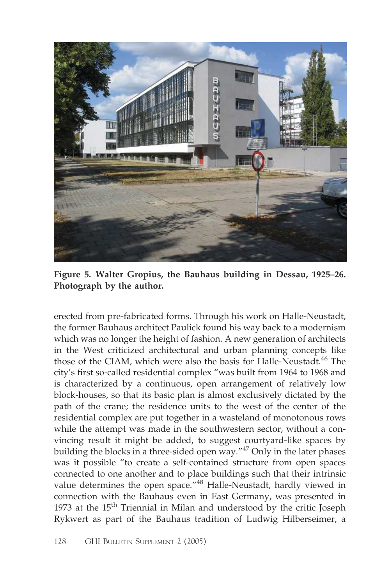

**Figure 5. Walter Gropius, the Bauhaus building in Dessau, 1925–26. Photograph by the author.**

erected from pre-fabricated forms. Through his work on Halle-Neustadt, the former Bauhaus architect Paulick found his way back to a modernism which was no longer the height of fashion. A new generation of architects in the West criticized architectural and urban planning concepts like those of the CIAM, which were also the basis for Halle-Neustadt.<sup>46</sup> The city's first so-called residential complex "was built from 1964 to 1968 and is characterized by a continuous, open arrangement of relatively low block-houses, so that its basic plan is almost exclusively dictated by the path of the crane; the residence units to the west of the center of the residential complex are put together in a wasteland of monotonous rows while the attempt was made in the southwestern sector, without a convincing result it might be added, to suggest courtyard-like spaces by building the blocks in a three-sided open way."<sup>47</sup> Only in the later phases was it possible "to create a self-contained structure from open spaces connected to one another and to place buildings such that their intrinsic value determines the open space."<sup>48</sup> Halle-Neustadt, hardly viewed in connection with the Bauhaus even in East Germany, was presented in 1973 at the  $15<sup>th</sup>$  Triennial in Milan and understood by the critic Joseph Rykwert as part of the Bauhaus tradition of Ludwig Hilberseimer, a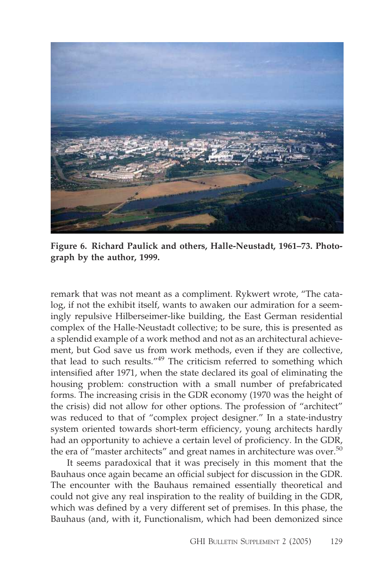

**Figure 6. Richard Paulick and others, Halle-Neustadt, 1961–73. Photograph by the author, 1999.**

remark that was not meant as a compliment. Rykwert wrote, "The catalog, if not the exhibit itself, wants to awaken our admiration for a seemingly repulsive Hilberseimer-like building, the East German residential complex of the Halle-Neustadt collective; to be sure, this is presented as a splendid example of a work method and not as an architectural achievement, but God save us from work methods, even if they are collective, that lead to such results."49 The criticism referred to something which intensified after 1971, when the state declared its goal of eliminating the housing problem: construction with a small number of prefabricated forms. The increasing crisis in the GDR economy (1970 was the height of the crisis) did not allow for other options. The profession of "architect" was reduced to that of "complex project designer." In a state-industry system oriented towards short-term efficiency, young architects hardly had an opportunity to achieve a certain level of proficiency. In the GDR, the era of "master architects" and great names in architecture was over.<sup>50</sup>

It seems paradoxical that it was precisely in this moment that the Bauhaus once again became an official subject for discussion in the GDR. The encounter with the Bauhaus remained essentially theoretical and could not give any real inspiration to the reality of building in the GDR, which was defined by a very different set of premises. In this phase, the Bauhaus (and, with it, Functionalism, which had been demonized since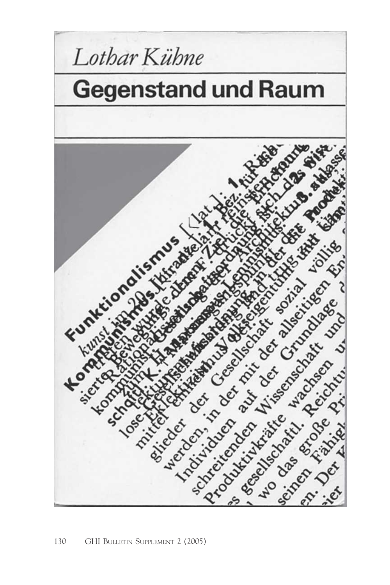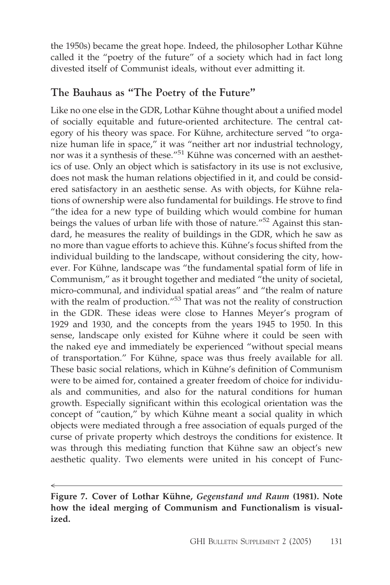the 1950s) became the great hope. Indeed, the philosopher Lothar Kühne called it the "poetry of the future" of a society which had in fact long divested itself of Communist ideals, without ever admitting it.

## **The Bauhaus as "The Poetry of the Future"**

Like no one else in the GDR, Lothar Kühne thought about a unified model of socially equitable and future-oriented architecture. The central category of his theory was space. For Kühne, architecture served "to organize human life in space," it was "neither art nor industrial technology, nor was it a synthesis of these."51 Kühne was concerned with an aesthetics of use. Only an object which is satisfactory in its use is not exclusive, does not mask the human relations objectified in it, and could be considered satisfactory in an aesthetic sense. As with objects, for Kühne relations of ownership were also fundamental for buildings. He strove to find "the idea for a new type of building which would combine for human beings the values of urban life with those of nature."<sup>52</sup> Against this standard, he measures the reality of buildings in the GDR, which he saw as no more than vague efforts to achieve this. Kühne's focus shifted from the individual building to the landscape, without considering the city, however. For Kühne, landscape was "the fundamental spatial form of life in Communism," as it brought together and mediated "the unity of societal, micro-communal, and individual spatial areas" and "the realm of nature with the realm of production."<sup>53</sup> That was not the reality of construction in the GDR. These ideas were close to Hannes Meyer's program of 1929 and 1930, and the concepts from the years 1945 to 1950. In this sense, landscape only existed for Kühne where it could be seen with the naked eye and immediately be experienced "without special means of transportation." For Kühne, space was thus freely available for all. These basic social relations, which in Kühne's definition of Communism were to be aimed for, contained a greater freedom of choice for individuals and communities, and also for the natural conditions for human growth. Especially significant within this ecological orientation was the concept of "caution," by which Kühne meant a social quality in which objects were mediated through a free association of equals purged of the curse of private property which destroys the conditions for existence. It was through this mediating function that Kühne saw an object's new aesthetic quality. Two elements were united in his concept of Func-

 $\prec$ 

**Figure 7. Cover of Lothar Kühne,** *Gegenstand und Raum* **(1981). Note how the ideal merging of Communism and Functionalism is visualized.**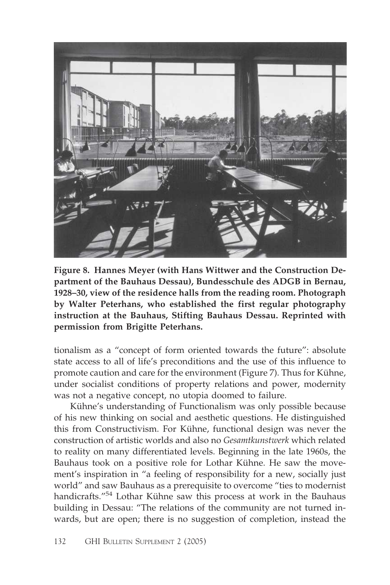

**Figure 8. Hannes Meyer (with Hans Wittwer and the Construction Department of the Bauhaus Dessau), Bundesschule des ADGB in Bernau, 1928–30, view of the residence halls from the reading room. Photograph by Walter Peterhans, who established the first regular photography instruction at the Bauhaus, Stifting Bauhaus Dessau. Reprinted with permission from Brigitte Peterhans.**

tionalism as a "concept of form oriented towards the future": absolute state access to all of life's preconditions and the use of this influence to promote caution and care for the environment (Figure 7). Thus for Kühne, under socialist conditions of property relations and power, modernity was not a negative concept, no utopia doomed to failure.

Kühne's understanding of Functionalism was only possible because of his new thinking on social and aesthetic questions. He distinguished this from Constructivism. For Kühne, functional design was never the construction of artistic worlds and also no *Gesamtkunstwerk* which related to reality on many differentiated levels. Beginning in the late 1960s, the Bauhaus took on a positive role for Lothar Kühne. He saw the movement's inspiration in "a feeling of responsibility for a new, socially just world" and saw Bauhaus as a prerequisite to overcome "ties to modernist handicrafts."54 Lothar Kühne saw this process at work in the Bauhaus building in Dessau: "The relations of the community are not turned inwards, but are open; there is no suggestion of completion, instead the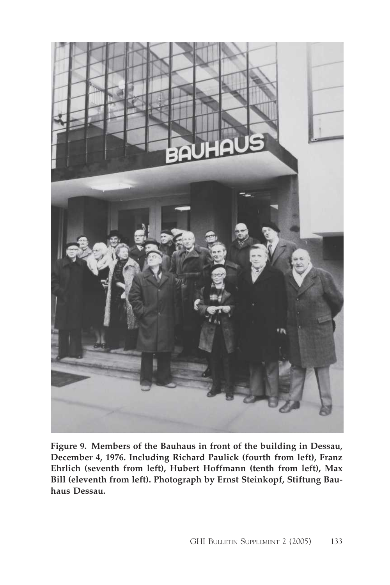

**Figure 9. Members of the Bauhaus in front of the building in Dessau, December 4, 1976. Including Richard Paulick (fourth from left), Franz Ehrlich (seventh from left), Hubert Hoffmann (tenth from left), Max Bill (eleventh from left). Photograph by Ernst Steinkopf, Stiftung Bauhaus Dessau.**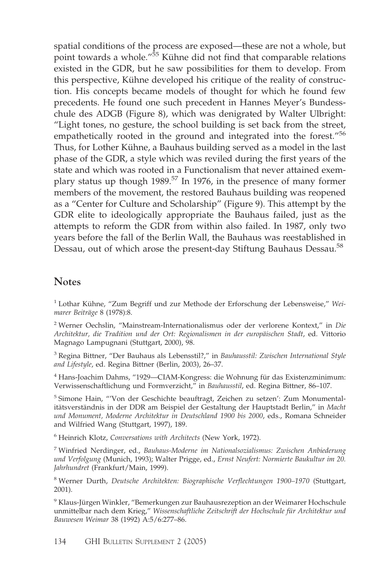spatial conditions of the process are exposed—these are not a whole, but point towards a whole."<sup>55</sup> Kühne did not find that comparable relations existed in the GDR, but he saw possibilities for them to develop. From this perspective, Kühne developed his critique of the reality of construction. His concepts became models of thought for which he found few precedents. He found one such precedent in Hannes Meyer's Bundesschule des ADGB (Figure 8), which was denigrated by Walter Ulbright: "Light tones, no gesture, the school building is set back from the street, empathetically rooted in the ground and integrated into the forest."<sup>56</sup> Thus, for Lother Kühne, a Bauhaus building served as a model in the last phase of the GDR, a style which was reviled during the first years of the state and which was rooted in a Functionalism that never attained exemplary status up though 1989.<sup>57</sup> In 1976, in the presence of many former members of the movement, the restored Bauhaus building was reopened as a "Center for Culture and Scholarship" (Figure 9). This attempt by the GDR elite to ideologically appropriate the Bauhaus failed, just as the attempts to reform the GDR from within also failed. In 1987, only two years before the fall of the Berlin Wall, the Bauhaus was reestablished in Dessau, out of which arose the present-day Stiftung Bauhaus Dessau.<sup>58</sup>

#### **Notes**

<sup>1</sup> Lothar Kühne, "Zum Begriff und zur Methode der Erforschung der Lebensweise," *Weimarer Beiträge* 8 (1978):8.

<sup>2</sup> Werner Oechslin, "Mainstream-Internationalismus oder der verlorene Kontext," in *Die Architektur, die Tradition und der Ort: Regionalismen in der europäischen Stadt*, ed. Vittorio Magnago Lampugnani (Stuttgart, 2000), 98.

<sup>3</sup> Regina Bittner, "Der Bauhaus als Lebensstil?," in *Bauhausstil: Zwischen International Style and Lifestyle*, ed. Regina Bittner (Berlin, 2003), 26–37.

<sup>4</sup> Hans-Joachim Dahms, "1929—CIAM-Kongress: die Wohnung für das Existenzminimum: Verwissenschaftlichung und Formverzicht," in *Bauhausstil*, ed. Regina Bittner, 86–107.

<sup>5</sup> Simone Hain, "'Von der Geschichte beauftragt, Zeichen zu setzen': Zum Monumentalitätsverständnis in der DDR am Beispiel der Gestaltung der Hauptstadt Berlin," in *Macht und Monument, Moderne Architektur in Deutschland 1900 bis 2000*, eds., Romana Schneider and Wilfried Wang (Stuttgart, 1997), 189.

<sup>6</sup> Heinrich Klotz, *Conversations with Architects* (New York, 1972).

<sup>7</sup> Winfried Nerdinger, ed., *Bauhaus-Moderne im Nationalsozialismus: Zwischen Anbiederung und Verfolgung* (Munich, 1993); Walter Prigge, ed., *Ernst Neufert: Normierte Baukultur im 20. Jahrhundret* (Frankfurt/Main, 1999).

<sup>8</sup> Werner Durth, *Deutsche Architekten: Biographische Verflechtungen 1900–1970* (Stuttgart, 2001).

<sup>9</sup> Klaus-Jürgen Winkler, "Bemerkungen zur Bauhausrezeption an der Weimarer Hochschule unmittelbar nach dem Krieg," *Wissenschaftliche Zeitschrift der Hochschule für Architektur und Bauwesen Weimar* 38 (1992) A:5/6:277–86.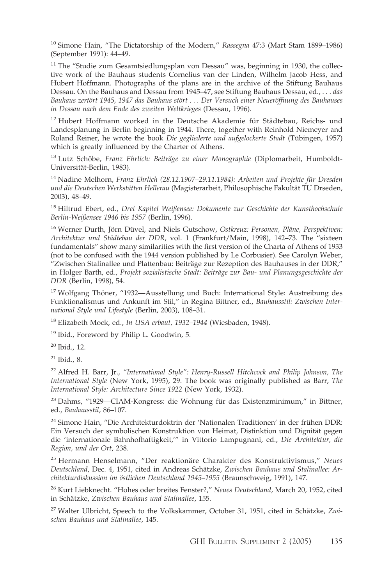<sup>10</sup> Simone Hain, "The Dictatorship of the Modern," *Rassegna* 47:3 (Mart Stam 1899–1986) (September 1991): 44–49.

<sup>11</sup> The "Studie zum Gesamtsiedlungsplan von Dessau" was, beginning in 1930, the collective work of the Bauhaus students Cornelius van der Linden, Wilhelm Jacob Hess, and Hubert Hoffmann. Photographs of the plans are in the archive of the Stiftung Bauhaus Dessau. On the Bauhaus and Dessau from 1945–47, see Stiftung Bauhaus Dessau, ed., . . . *das Bauhaus zertört 1945, 1947 das Bauhaus stört . . . Der Versuch einer Neueröffnung des Bauhauses in Dessau nach dem Ende des zweiten Weltkrieges* (Dessau, 1996).

<sup>12</sup> Hubert Hoffmann worked in the Deutsche Akademie für Städtebau, Reichs- und Landesplanung in Berlin beginning in 1944. There, together with Reinhold Niemeyer and Roland Reiner, he wrote the book *Die gegliederte und aufgelockerte Stadt* (Tübingen, 1957) which is greatly influenced by the Charter of Athens.

<sup>13</sup> Lutz Schöbe, *Franz Ehrlich: Beiträge zu einer Monographie* (Diplomarbeit, Humboldt-Universität-Berlin, 1983).

<sup>14</sup> Nadine Melhorn, *Franz Ehrlich (28.12.1907–29.11.1984): Arbeiten und Projekte für Dresden und die Deutschen Werkstätten Hellerau* (Magisterarbeit, Philosophische Fakultät TU Drseden, 2003), 48–49.

<sup>15</sup> Hiltrud Ebert, ed., *Drei Kapitel Weißensee: Dokumente zur Geschichte der Kunsthochschule Berlin-Weißensee 1946 bis 1957* (Berlin, 1996).

<sup>16</sup> Werner Durth, Jörn Düvel, and Niels Gutschow, *Ostkreuz: Personen, Pläne, Perspektiven: Architektur und Städtebau der DDR*, vol. 1 (Frankfurt/Main, 1998), 142–73. The "sixteen fundamentals" show many similarities with the first version of the Charta of Athens of 1933 (not to be confused with the 1944 version published by Le Corbusier). See Carolyn Weber, "Zwischen Stalinallee und Plattenbau: Beiträge zur Rezeption des Bauhauses in der DDR," in Holger Barth, ed., *Projekt sozialistische Stadt: Beiträge zur Bau- und Planungsgeschichte der DDR* (Berlin, 1998), 54.

<sup>17</sup> Wolfgang Thöner, "1932—Ausstellung und Buch: International Style: Austreibung des Funktionalismus und Ankunft im Stil," in Regina Bittner, ed., *Bauhausstil: Zwischen International Style und Lifestyle* (Berlin, 2003), 108–31.

<sup>18</sup> Elizabeth Mock, ed., *In USA erbaut, 1932–1944* (Wiesbaden, 1948).

<sup>19</sup> Ibid., Foreword by Philip L. Goodwin, 5.

<sup>20</sup> Ibid., 12.

 $21$  Ibid., 8.

<sup>22</sup> Alfred H. Barr, Jr., *"International Style": Henry-Russell Hitchcock and Philip Johnson, The International Style* (New York, 1995), 29. The book was originally published as Barr, *The International Style: Architecture Since 1922* (New York, 1932).

<sup>23</sup> Dahms, "1929–CIAM-Kongress: die Wohnung für das Existenzminimum," in Bittner, ed., *Bauhausstil*, 86–107.

<sup>24</sup> Simone Hain, "Die Architekturdoktrin der 'Nationalen Traditionen' in der frühen DDR: Ein Versuch der symbolischen Konstruktion von Heimat, Distinktion und Dignität gegen die 'internationale Bahnhofhaftigkeit,'" in Vittorio Lampugnani, ed., *Die Architektur, die Region, und der Ort*, 238.

<sup>25</sup> Hermann Henselmann, "Der reaktionäre Charakter des Konstruktivismus," *Neues Deutschland*, Dec. 4, 1951, cited in Andreas Schätzke, *Zwischen Bauhaus und Stalinallee: Architekturdiskussion im östlichen Deutschland 1945–1955* (Braunschweig, 1991), 147.

<sup>26</sup> Kurt Liebknecht. "Hohes oder breites Fenster?," *Neues Deutschland*, March 20, 1952, cited in Schätzke, *Zwischen Bauhaus und Stalinallee*, 155.

<sup>27</sup> Walter Ulbricht, Speech to the Volkskammer, October 31, 1951, cited in Schätzke, *Zwischen Bauhaus und Stalinallee*, 145.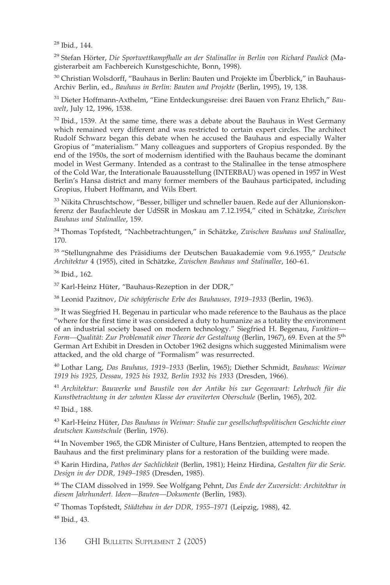<sup>28</sup> Ibid., 144.

<sup>29</sup> Stefan Hörter, *Die Sportwettkampfhalle an der Stalinallee in Berlin von Richard Paulick* (Magisterarbeit am Fachbereich Kunstgeschichte, Bonn, 1998).

<sup>30</sup> Christian Wolsdorff, "Bauhaus in Berlin: Bauten und Projekte im Überblick," in Bauhaus-Archiv Berlin, ed., *Bauhaus in Berlin: Bauten und Projekte* (Berlin, 1995), 19, 138.

<sup>31</sup> Dieter Hoffmann-Axthelm, "Eine Entdeckungsreise: drei Bauen von Franz Ehrlich," *Bauwelt*, July 12, 1996, 1538.

 $32$  Ibid., 1539. At the same time, there was a debate about the Bauhaus in West Germany which remained very different and was restricted to certain expert circles. The architect Rudolf Schwarz began this debate when he accused the Bauhaus and especially Walter Gropius of "materialism." Many colleagues and supporters of Gropius responded. By the end of the 1950s, the sort of modernism identified with the Bauhaus became the dominant model in West Germany. Intended as a contrast to the Stalinallee in the tense atmosphere of the Cold War, the Interationale Bauausstellung (INTERBAU) was opened in 1957 in West Berlin's Hansa district and many former members of the Bauhaus participated, including Gropius, Hubert Hoffmann, and Wils Ebert.

<sup>33</sup> Nikita Chruschtschow, "Besser, billiger und schneller bauen. Rede auf der Allunionskonferenz der Baufachleute der UdSSR in Moskau am 7.12.1954," cited in Schätzke, *Zwischen Bauhaus und Stalinallee*, 159.

<sup>34</sup> Thomas Topfstedt, "Nachbetrachtungen," in Schätzke, *Zwischen Bauhaus und Stalinallee*, 170.

<sup>35</sup> "Stellungnahme des Präsidiums der Deutschen Bauakademie vom 9.6.1955," *Deutsche Architektur* 4 (1955), cited in Schätzke, *Zwischen Bauhaus und Stalinallee*, 160–61.

<sup>36</sup> Ibid., 162.

<sup>37</sup> Karl-Heinz Hüter, "Bauhaus-Rezeption in der DDR,"

<sup>38</sup> Leonid Pazitnov, *Die schöpferische Erbe des Bauhauses, 1919–1933* (Berlin, 1963).

<sup>39</sup> It was Siegfried H. Begenau in particular who made reference to the Bauhaus as the place "where for the first time it was considered a duty to humanize as a totality the environment of an industrial society based on modern technology." Siegfried H. Begenau, *Funktion— Form—Qualität: Zur Problematik einer Theorie der Gestaltung* (Berlin, 1967), 69. Even at the 5th German Art Exhibit in Dresden in October 1962 designs which suggested Minimalism were attacked, and the old charge of "Formalism" was resurrected.

<sup>40</sup> Lothar Lang, *Das Bauhaus, 1919–1933* (Berlin, 1965); Diether Schmidt, *Bauhaus: Weimar 1919 bis 1925, Dessau, 1925 bis 1932, Berlin 1932 bis 1933* (Dresden, 1966).

<sup>41</sup> *Architektur: Bauwerke und Baustile von der Antike bis zur Gegenwart: Lehrbuch für die Kunstbetrachtung in der zehnten Klasse der erweiterten Oberschule* (Berlin, 1965), 202.

<sup>42</sup> Ibid., 188.

<sup>43</sup> Karl-Heinz Hüter, *Das Bauhaus in Weimar: Studie zur gesellschaftspolitischen Geschichte einer deutschen Kunstschule* (Berlin, 1976).

<sup>44</sup> In November 1965, the GDR Minister of Culture, Hans Bentzien, attempted to reopen the Bauhaus and the first preliminary plans for a restoration of the building were made.

<sup>45</sup> Karin Hirdina, *Pathos der Sachlichkeit* (Berlin, 1981); Heinz Hirdina, *Gestalten für die Serie. Design in der DDR, 1949–1985* (Dresden, 1985).

<sup>46</sup> The CIAM dissolved in 1959. See Wolfgang Pehnt, *Das Ende der Zuversicht: Architektur in diesem Jahrhundert. Ideen—Bauten—Dokumente* (Berlin, 1983).

<sup>47</sup> Thomas Topfstedt, *Städtebau in der DDR, 1955–1971* (Leipzig, 1988), 42.

<sup>48</sup> Ibid., 43.